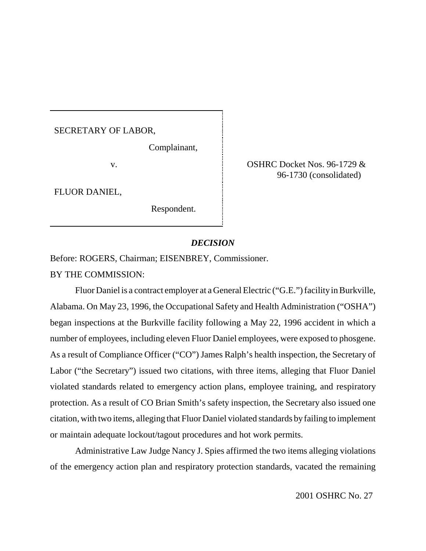SECRETARY OF LABOR,

Complainant,

FLUOR DANIEL,

Respondent.

v. OSHRC Docket Nos. 96-1729 & 96-1730 (consolidated)

# *DECISION*

Before: ROGERS, Chairman; EISENBREY, Commissioner.

BY THE COMMISSION:

Fluor Daniel is a contract employer at a General Electric ("G.E.") facility in Burkville, Alabama. On May 23, 1996, the Occupational Safety and Health Administration ("OSHA") began inspections at the Burkville facility following a May 22, 1996 accident in which a number of employees, including eleven Fluor Daniel employees, were exposed to phosgene. As a result of Compliance Officer ("CO") James Ralph's health inspection, the Secretary of Labor ("the Secretary") issued two citations, with three items, alleging that Fluor Daniel violated standards related to emergency action plans, employee training, and respiratory protection. As a result of CO Brian Smith's safety inspection, the Secretary also issued one citation, with two items, alleging that Fluor Daniel violated standards byfailing to implement or maintain adequate lockout/tagout procedures and hot work permits.

Administrative Law Judge Nancy J. Spies affirmed the two items alleging violations of the emergency action plan and respiratory protection standards, vacated the remaining

2001 OSHRC No. 27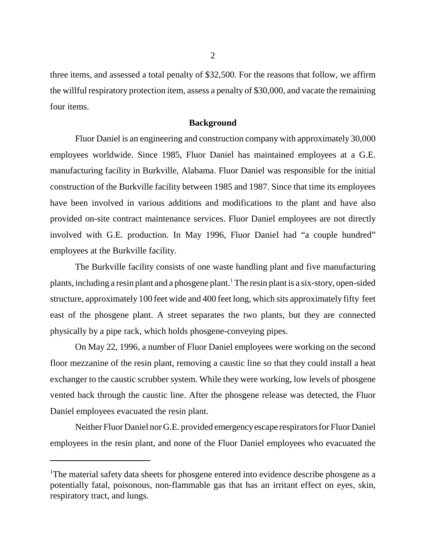three items, and assessed a total penalty of \$32,500. For the reasons that follow, we affirm the willful respiratory protection item, assess a penalty of \$30,000, and vacate the remaining four items.

## **Background**

Fluor Daniel is an engineering and construction company with approximately 30,000 employees worldwide. Since 1985, Fluor Daniel has maintained employees at a G.E. manufacturing facility in Burkville, Alabama. Fluor Daniel was responsible for the initial construction of the Burkville facility between 1985 and 1987. Since that time its employees have been involved in various additions and modifications to the plant and have also provided on-site contract maintenance services. Fluor Daniel employees are not directly involved with G.E. production. In May 1996, Fluor Daniel had "a couple hundred" employees at the Burkville facility.

The Burkville facility consists of one waste handling plant and five manufacturing plants, including a resin plant and a phosgene plant.<sup>1</sup> The resin plant is a six-story, open-sided structure, approximately 100 feet wide and 400 feet long, which sits approximately fifty feet east of the phosgene plant. A street separates the two plants, but they are connected physically by a pipe rack, which holds phosgene-conveying pipes.

On May 22, 1996, a number of Fluor Daniel employees were working on the second floor mezzanine of the resin plant, removing a caustic line so that they could install a heat exchanger to the caustic scrubber system. While they were working, low levels of phosgene vented back through the caustic line. After the phosgene release was detected, the Fluor Daniel employees evacuated the resin plant.

Neither Fluor Daniel nor G.E. provided emergency escape respirators for Fluor Daniel employees in the resin plant, and none of the Fluor Daniel employees who evacuated the

<sup>&</sup>lt;sup>1</sup>The material safety data sheets for phosgene entered into evidence describe phosgene as a potentially fatal, poisonous, non-flammable gas that has an irritant effect on eyes, skin, respiratory tract, and lungs.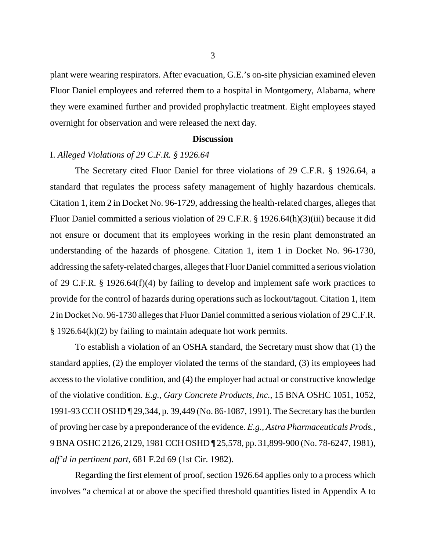plant were wearing respirators. After evacuation, G.E.'s on-site physician examined eleven Fluor Daniel employees and referred them to a hospital in Montgomery, Alabama, where they were examined further and provided prophylactic treatment. Eight employees stayed overnight for observation and were released the next day.

# **Discussion**

# I. *Alleged Violations of 29 C.F.R. § 1926.64*

The Secretary cited Fluor Daniel for three violations of 29 C.F.R. § 1926.64, a standard that regulates the process safety management of highly hazardous chemicals. Citation 1, item 2 in Docket No. 96-1729, addressing the health-related charges, alleges that Fluor Daniel committed a serious violation of 29 C.F.R. § 1926.64(h)(3)(iii) because it did not ensure or document that its employees working in the resin plant demonstrated an understanding of the hazards of phosgene. Citation 1, item 1 in Docket No. 96-1730, addressing the safety-related charges, alleges that Fluor Daniel committed a serious violation of 29 C.F.R. § 1926.64(f)(4) by failing to develop and implement safe work practices to provide for the control of hazards during operations such as lockout/tagout. Citation 1, item 2 in Docket No. 96-1730 alleges that Fluor Daniel committed a serious violation of 29 C.F.R. § 1926.64(k)(2) by failing to maintain adequate hot work permits.

To establish a violation of an OSHA standard, the Secretary must show that (1) the standard applies, (2) the employer violated the terms of the standard, (3) its employees had access to the violative condition, and (4) the employer had actual or constructive knowledge of the violative condition. *E.g., Gary Concrete Products, Inc.*, 15 BNA OSHC 1051, 1052, 1991-93 CCH OSHD ¶ 29,344, p. 39,449 (No. 86-1087, 1991). The Secretary has the burden of proving her case by a preponderance of the evidence. *E.g., Astra Pharmaceuticals Prods.*, 9 BNA OSHC 2126, 2129, 1981 CCH OSHD ¶ 25,578, pp. 31,899-900 (No. 78-6247, 1981), *aff'd in pertinent part,* 681 F.2d 69 (1st Cir. 1982).

Regarding the first element of proof, section 1926.64 applies only to a process which involves "a chemical at or above the specified threshold quantities listed in Appendix A to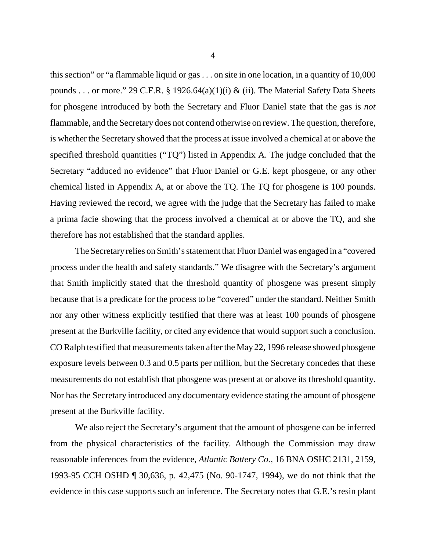this section" or "a flammable liquid or gas . . . on site in one location, in a quantity of 10,000 pounds . . . or more." 29 C.F.R. § 1926.64(a)(1)(i) & (ii). The Material Safety Data Sheets for phosgene introduced by both the Secretary and Fluor Daniel state that the gas is *not*  flammable, and the Secretary does not contend otherwise on review. The question, therefore, is whether the Secretary showed that the process at issue involved a chemical at or above the specified threshold quantities ("TQ") listed in Appendix A. The judge concluded that the Secretary "adduced no evidence" that Fluor Daniel or G.E. kept phosgene, or any other chemical listed in Appendix A, at or above the TQ. The TQ for phosgene is 100 pounds. Having reviewed the record, we agree with the judge that the Secretary has failed to make a prima facie showing that the process involved a chemical at or above the TQ, and she therefore has not established that the standard applies.

The Secretary relies on Smith's statement that Fluor Daniel was engaged in a "covered process under the health and safety standards." We disagree with the Secretary's argument that Smith implicitly stated that the threshold quantity of phosgene was present simply because that is a predicate for the process to be "covered" under the standard. Neither Smith nor any other witness explicitly testified that there was at least 100 pounds of phosgene present at the Burkville facility, or cited any evidence that would support such a conclusion. CO Ralph testified that measurements taken after the May 22, 1996 release showed phosgene exposure levels between 0.3 and 0.5 parts per million, but the Secretary concedes that these measurements do not establish that phosgene was present at or above its threshold quantity. Nor has the Secretary introduced any documentary evidence stating the amount of phosgene present at the Burkville facility.

We also reject the Secretary's argument that the amount of phosgene can be inferred from the physical characteristics of the facility. Although the Commission may draw reasonable inferences from the evidence, *Atlantic Battery Co.*, 16 BNA OSHC 2131, 2159, 1993-95 CCH OSHD ¶ 30,636, p. 42,475 (No. 90-1747, 1994), we do not think that the evidence in this case supports such an inference. The Secretary notes that G.E.'s resin plant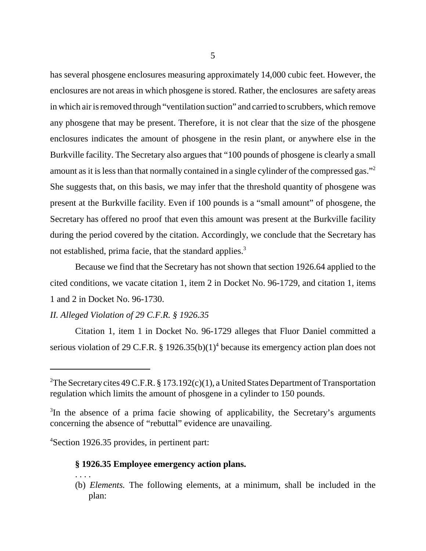has several phosgene enclosures measuring approximately 14,000 cubic feet. However, the enclosures are not areas in which phosgene is stored. Rather, the enclosures are safety areas in which air is removed through "ventilation suction" and carried to scrubbers, which remove any phosgene that may be present. Therefore, it is not clear that the size of the phosgene enclosures indicates the amount of phosgene in the resin plant, or anywhere else in the Burkville facility. The Secretary also argues that "100 pounds of phosgene is clearly a small amount as it is less than that normally contained in a single cylinder of the compressed gas."2 She suggests that, on this basis, we may infer that the threshold quantity of phosgene was present at the Burkville facility. Even if 100 pounds is a "small amount" of phosgene, the Secretary has offered no proof that even this amount was present at the Burkville facility during the period covered by the citation. Accordingly, we conclude that the Secretary has not established, prima facie, that the standard applies.<sup>3</sup>

Because we find that the Secretary has not shown that section 1926.64 applied to the cited conditions, we vacate citation 1, item 2 in Docket No. 96-1729, and citation 1, items 1 and 2 in Docket No. 96-1730.

## *II. Alleged Violation of 29 C.F.R. § 1926.35*

Citation 1, item 1 in Docket No. 96-1729 alleges that Fluor Daniel committed a serious violation of 29 C.F.R. § 1926.35(b)(1)<sup>4</sup> because its emergency action plan does not

4 Section 1926.35 provides, in pertinent part:

. . . .

## **§ 1926.35 Employee emergency action plans.**

(b) *Elements.* The following elements, at a minimum, shall be included in the plan:

<sup>&</sup>lt;sup>2</sup>The Secretary cites 49 C.F.R. § 173.192 $(c)(1)$ , a United States Department of Transportation regulation which limits the amount of phosgene in a cylinder to 150 pounds.

<sup>&</sup>lt;sup>3</sup>In the absence of a prima facie showing of applicability, the Secretary's arguments concerning the absence of "rebuttal" evidence are unavailing.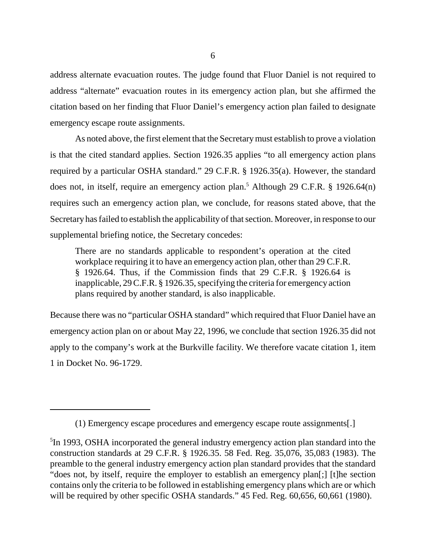address alternate evacuation routes. The judge found that Fluor Daniel is not required to address "alternate" evacuation routes in its emergency action plan, but she affirmed the citation based on her finding that Fluor Daniel's emergency action plan failed to designate emergency escape route assignments.

As noted above, the first element that the Secretary must establish to prove a violation is that the cited standard applies. Section 1926.35 applies "to all emergency action plans required by a particular OSHA standard." 29 C.F.R. § 1926.35(a). However, the standard does not, in itself, require an emergency action plan.<sup>5</sup> Although 29 C.F.R.  $\S$  1926.64(n) requires such an emergency action plan, we conclude, for reasons stated above, that the Secretary has failed to establish the applicability of that section. Moreover, in response to our supplemental briefing notice, the Secretary concedes:

There are no standards applicable to respondent's operation at the cited workplace requiring it to have an emergency action plan, other than 29 C.F.R. § 1926.64. Thus, if the Commission finds that 29 C.F.R. § 1926.64 is inapplicable, 29 C.F.R. § 1926.35, specifying the criteria for emergency action plans required by another standard, is also inapplicable.

Because there was no "particular OSHA standard" which required that Fluor Daniel have an emergency action plan on or about May 22, 1996, we conclude that section 1926.35 did not apply to the company's work at the Burkville facility. We therefore vacate citation 1, item 1 in Docket No. 96-1729.

<sup>(1)</sup> Emergency escape procedures and emergency escape route assignments[.]

<sup>&</sup>lt;sup>5</sup>In 1993, OSHA incorporated the general industry emergency action plan standard into the construction standards at 29 C.F.R. § 1926.35. 58 Fed. Reg. 35,076, 35,083 (1983). The preamble to the general industry emergency action plan standard provides that the standard "does not, by itself, require the employer to establish an emergency plan[;] [t]he section contains only the criteria to be followed in establishing emergency plans which are or which will be required by other specific OSHA standards." 45 Fed. Reg. 60,656, 60,661 (1980).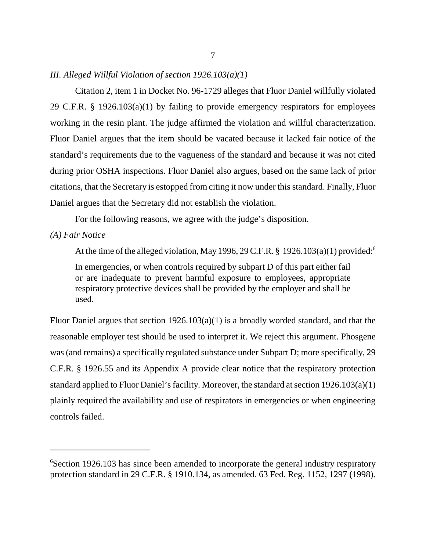# *III. Alleged Willful Violation of section 1926.103(a)(1)*

Citation 2, item 1 in Docket No. 96-1729 alleges that Fluor Daniel willfully violated 29 C.F.R. § 1926.103(a)(1) by failing to provide emergency respirators for employees working in the resin plant. The judge affirmed the violation and willful characterization. Fluor Daniel argues that the item should be vacated because it lacked fair notice of the standard's requirements due to the vagueness of the standard and because it was not cited during prior OSHA inspections. Fluor Daniel also argues, based on the same lack of prior citations, that the Secretary is estopped from citing it now under this standard. Finally, Fluor Daniel argues that the Secretary did not establish the violation.

For the following reasons, we agree with the judge's disposition.

# *(A) Fair Notice*

At the time of the alleged violation, May 1996, 29 C.F.R. § 1926.103(a)(1) provided:<sup>6</sup> In emergencies, or when controls required by subpart D of this part either fail or are inadequate to prevent harmful exposure to employees, appropriate respiratory protective devices shall be provided by the employer and shall be used.

Fluor Daniel argues that section 1926.103(a)(1) is a broadly worded standard, and that the reasonable employer test should be used to interpret it. We reject this argument. Phosgene was (and remains) a specifically regulated substance under Subpart D; more specifically, 29 C.F.R. § 1926.55 and its Appendix A provide clear notice that the respiratory protection standard applied to Fluor Daniel's facility. Moreover, the standard at section 1926.103(a)(1) plainly required the availability and use of respirators in emergencies or when engineering controls failed.

<sup>&</sup>lt;sup>6</sup>Section 1926.103 has since been amended to incorporate the general industry respiratory protection standard in 29 C.F.R. § 1910.134, as amended. 63 Fed. Reg. 1152, 1297 (1998).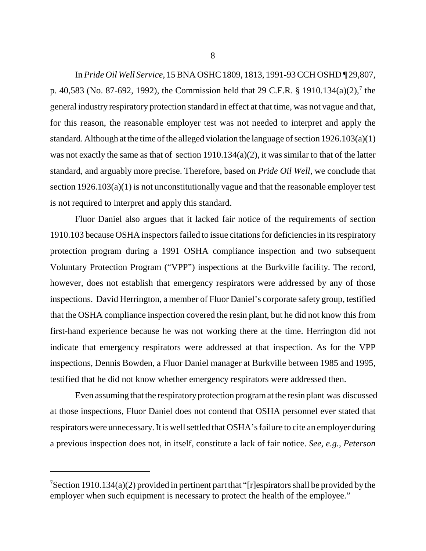In *Pride Oil Well Service*, 15 BNA OSHC 1809, 1813, 1991-93 CCH OSHD ¶ 29,807, p. 40,583 (No. 87-692, 1992), the Commission held that 29 C.F.R. § 1910.134(a)(2),<sup>7</sup> the general industry respiratory protection standard in effect at that time, was not vague and that, for this reason, the reasonable employer test was not needed to interpret and apply the standard. Although at the time of the alleged violation the language of section 1926.103(a)(1) was not exactly the same as that of section 1910.134(a)(2), it was similar to that of the latter standard, and arguably more precise. Therefore, based on *Pride Oil Well*, we conclude that section 1926.103(a)(1) is not unconstitutionally vague and that the reasonable employer test is not required to interpret and apply this standard.

Fluor Daniel also argues that it lacked fair notice of the requirements of section 1910.103 because OSHA inspectors failed to issue citations for deficiencies in its respiratory protection program during a 1991 OSHA compliance inspection and two subsequent Voluntary Protection Program ("VPP") inspections at the Burkville facility. The record, however, does not establish that emergency respirators were addressed by any of those inspections. David Herrington, a member of Fluor Daniel's corporate safety group, testified that the OSHA compliance inspection covered the resin plant, but he did not know this from first-hand experience because he was not working there at the time. Herrington did not indicate that emergency respirators were addressed at that inspection. As for the VPP inspections, Dennis Bowden, a Fluor Daniel manager at Burkville between 1985 and 1995, testified that he did not know whether emergency respirators were addressed then.

Even assuming that the respiratory protection program at the resin plant was discussed at those inspections, Fluor Daniel does not contend that OSHA personnel ever stated that respirators were unnecessary. It is well settled that OSHA's failure to cite an employer during a previous inspection does not, in itself, constitute a lack of fair notice. *See, e.g., Peterson* 

<sup>&</sup>lt;sup>7</sup>Section 1910.134(a)(2) provided in pertinent part that "[r]espirators shall be provided by the employer when such equipment is necessary to protect the health of the employee."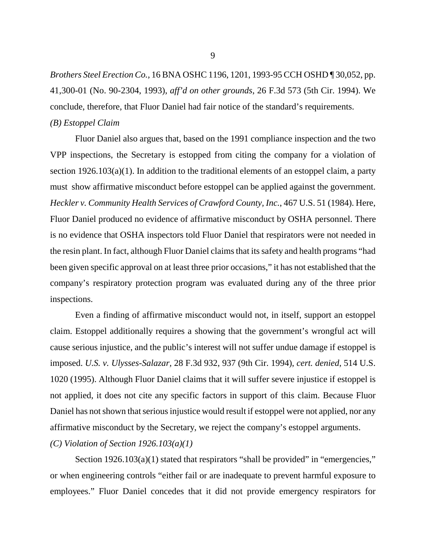*Brothers Steel Erection Co.,* 16 BNA OSHC 1196, 1201, 1993-95 CCH OSHD ¶ 30,052, pp. 41,300-01 (No. 90-2304, 1993), *aff'd on other grounds*, 26 F.3d 573 (5th Cir. 1994). We conclude, therefore, that Fluor Daniel had fair notice of the standard's requirements. *(B) Estoppel Claim* 

Fluor Daniel also argues that, based on the 1991 compliance inspection and the two VPP inspections, the Secretary is estopped from citing the company for a violation of section 1926.103(a)(1). In addition to the traditional elements of an estoppel claim, a party must show affirmative misconduct before estoppel can be applied against the government. *Heckler v. Community Health Services of Crawford County, Inc.*, 467 U.S. 51 (1984). Here, Fluor Daniel produced no evidence of affirmative misconduct by OSHA personnel. There is no evidence that OSHA inspectors told Fluor Daniel that respirators were not needed in the resin plant. In fact, although Fluor Daniel claims that its safety and health programs "had been given specific approval on at least three prior occasions," it has not established that the company's respiratory protection program was evaluated during any of the three prior inspections.

Even a finding of affirmative misconduct would not, in itself, support an estoppel claim. Estoppel additionally requires a showing that the government's wrongful act will cause serious injustice, and the public's interest will not suffer undue damage if estoppel is imposed. *U.S. v. Ulysses-Salazar,* 28 F.3d 932, 937 (9th Cir. 1994), *cert. denied*, 514 U.S. 1020 (1995). Although Fluor Daniel claims that it will suffer severe injustice if estoppel is not applied, it does not cite any specific factors in support of this claim. Because Fluor Daniel has not shown that serious injustice would result if estoppel were not applied, nor any affirmative misconduct by the Secretary, we reject the company's estoppel arguments. *(C) Violation of Section 1926.103(a)(1)* 

Section 1926.103(a)(1) stated that respirators "shall be provided" in "emergencies," or when engineering controls "either fail or are inadequate to prevent harmful exposure to employees." Fluor Daniel concedes that it did not provide emergency respirators for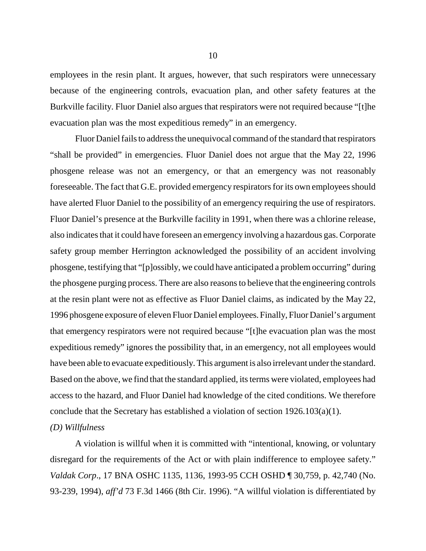employees in the resin plant. It argues, however, that such respirators were unnecessary because of the engineering controls, evacuation plan, and other safety features at the Burkville facility. Fluor Daniel also argues that respirators were not required because "[t]he evacuation plan was the most expeditious remedy" in an emergency.

Fluor Daniel fails to address the unequivocal command of the standard that respirators "shall be provided" in emergencies. Fluor Daniel does not argue that the May 22, 1996 phosgene release was not an emergency, or that an emergency was not reasonably foreseeable. The fact that G.E. provided emergency respirators for its own employees should have alerted Fluor Daniel to the possibility of an emergency requiring the use of respirators. Fluor Daniel's presence at the Burkville facility in 1991, when there was a chlorine release, also indicates that it could have foreseen an emergency involving a hazardous gas. Corporate safety group member Herrington acknowledged the possibility of an accident involving phosgene, testifying that "[p]ossibly, we could have anticipated a problem occurring" during the phosgene purging process. There are also reasons to believe that the engineering controls at the resin plant were not as effective as Fluor Daniel claims, as indicated by the May 22, 1996 phosgene exposure of eleven Fluor Daniel employees. Finally, Fluor Daniel's argument that emergency respirators were not required because "[t]he evacuation plan was the most expeditious remedy" ignores the possibility that, in an emergency, not all employees would have been able to evacuate expeditiously. This argument is also irrelevant under the standard. Based on the above, we find that the standard applied, its terms were violated, employees had access to the hazard, and Fluor Daniel had knowledge of the cited conditions. We therefore conclude that the Secretary has established a violation of section 1926.103(a)(1).

# *(D) Willfulness*

A violation is willful when it is committed with "intentional, knowing, or voluntary disregard for the requirements of the Act or with plain indifference to employee safety." *Valdak Corp*., 17 BNA OSHC 1135, 1136, 1993-95 CCH OSHD ¶ 30,759, p. 42,740 (No. 93-239, 1994), *aff'd* 73 F.3d 1466 (8th Cir. 1996). "A willful violation is differentiated by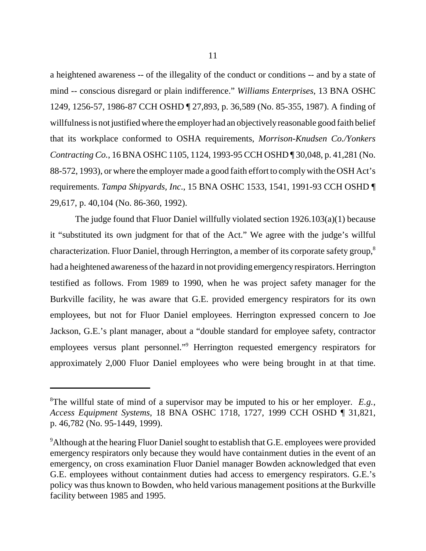a heightened awareness -- of the illegality of the conduct or conditions -- and by a state of mind -- conscious disregard or plain indifference." *Williams Enterprises*, 13 BNA OSHC 1249, 1256-57, 1986-87 CCH OSHD ¶ 27,893, p. 36,589 (No. 85-355, 1987). A finding of willfulness is not justified where the employer had an objectively reasonable good faith belief that its workplace conformed to OSHA requirements, *Morrison-Knudsen Co./Yonkers Contracting Co.*, 16 BNA OSHC 1105, 1124, 1993-95 CCH OSHD ¶ 30,048, p. 41,281 (No. 88-572, 1993), or where the employer made a good faith effort to complywith the OSH Act's requirements. *Tampa Shipyards, Inc*., 15 BNA OSHC 1533, 1541, 1991-93 CCH OSHD ¶ 29,617, p. 40,104 (No. 86-360, 1992).

The judge found that Fluor Daniel willfully violated section 1926.103(a)(1) because it "substituted its own judgment for that of the Act." We agree with the judge's willful characterization. Fluor Daniel, through Herrington, a member of its corporate safety group,<sup>8</sup> had a heightened awareness of the hazard in not providing emergencyrespirators. Herrington testified as follows. From 1989 to 1990, when he was project safety manager for the Burkville facility, he was aware that G.E. provided emergency respirators for its own employees, but not for Fluor Daniel employees. Herrington expressed concern to Joe Jackson, G.E.'s plant manager, about a "double standard for employee safety, contractor employees versus plant personnel."<sup>9</sup> Herrington requested emergency respirators for approximately 2,000 Fluor Daniel employees who were being brought in at that time.

<sup>8</sup> The willful state of mind of a supervisor may be imputed to his or her employer. *E.g., Access Equipment Systems*, 18 BNA OSHC 1718, 1727, 1999 CCH OSHD ¶ 31,821, p. 46,782 (No. 95-1449, 1999).

<sup>&</sup>lt;sup>9</sup>Although at the hearing Fluor Daniel sought to establish that G.E. employees were provided emergency respirators only because they would have containment duties in the event of an emergency, on cross examination Fluor Daniel manager Bowden acknowledged that even G.E. employees without containment duties had access to emergency respirators. G.E.'s policy was thus known to Bowden, who held various management positions at the Burkville facility between 1985 and 1995.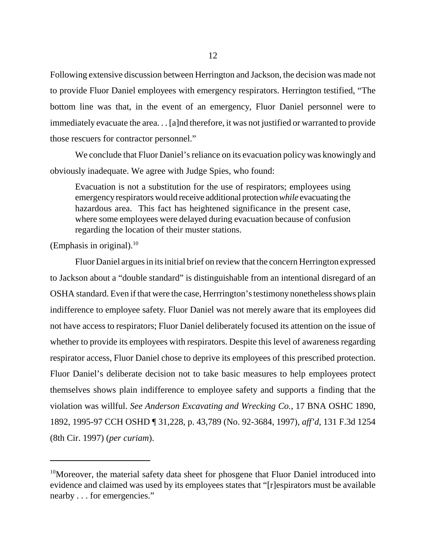Following extensive discussion between Herrington and Jackson, the decision was made not to provide Fluor Daniel employees with emergency respirators. Herrington testified, "The bottom line was that, in the event of an emergency, Fluor Daniel personnel were to immediately evacuate the area. . . [a]nd therefore, it was not justified or warranted to provide those rescuers for contractor personnel."

We conclude that Fluor Daniel's reliance on its evacuation policy was knowingly and obviously inadequate. We agree with Judge Spies, who found:

Evacuation is not a substitution for the use of respirators; employees using emergency respirators would receive additional protection *while* evacuating the hazardous area. This fact has heightened significance in the present case, where some employees were delayed during evacuation because of confusion regarding the location of their muster stations.

(Emphasis in original). $^{10}$ 

Fluor Daniel argues in its initial brief on review that the concern Herrington expressed to Jackson about a "double standard" is distinguishable from an intentional disregard of an OSHA standard. Even if that were the case, Herrrington's testimony nonetheless shows plain indifference to employee safety. Fluor Daniel was not merely aware that its employees did not have access to respirators; Fluor Daniel deliberately focused its attention on the issue of whether to provide its employees with respirators. Despite this level of awareness regarding respirator access, Fluor Daniel chose to deprive its employees of this prescribed protection. Fluor Daniel's deliberate decision not to take basic measures to help employees protect themselves shows plain indifference to employee safety and supports a finding that the violation was willful. *See Anderson Excavating and Wrecking Co.*, 17 BNA OSHC 1890, 1892, 1995-97 CCH OSHD ¶ 31,228, p. 43,789 (No. 92-3684, 1997), *aff'd*, 131 F.3d 1254 (8th Cir. 1997) (*per curiam*).

<sup>&</sup>lt;sup>10</sup>Moreover, the material safety data sheet for phosgene that Fluor Daniel introduced into evidence and claimed was used by its employees states that "[r]espirators must be available nearby . . . for emergencies."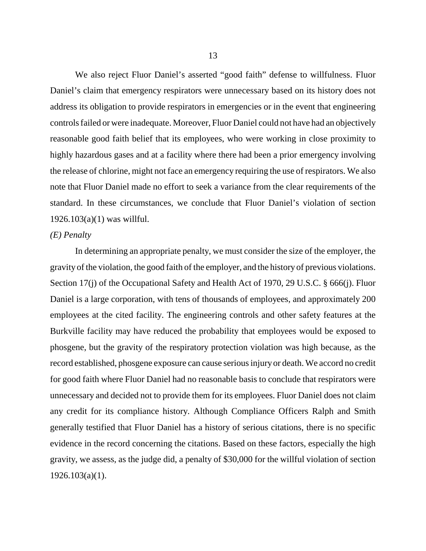We also reject Fluor Daniel's asserted "good faith" defense to willfulness. Fluor Daniel's claim that emergency respirators were unnecessary based on its history does not address its obligation to provide respirators in emergencies or in the event that engineering controls failed or were inadequate. Moreover, Fluor Daniel could not have had an objectively reasonable good faith belief that its employees, who were working in close proximity to highly hazardous gases and at a facility where there had been a prior emergency involving the release of chlorine, might not face an emergency requiring the use of respirators. We also note that Fluor Daniel made no effort to seek a variance from the clear requirements of the standard. In these circumstances, we conclude that Fluor Daniel's violation of section 1926.103(a)(1) was willful.

## *(E) Penalty*

In determining an appropriate penalty, we must consider the size of the employer, the gravity of the violation, the good faith of the employer, and the history of previous violations. Section 17(j) of the Occupational Safety and Health Act of 1970, 29 U.S.C. § 666(j). Fluor Daniel is a large corporation, with tens of thousands of employees, and approximately 200 employees at the cited facility. The engineering controls and other safety features at the Burkville facility may have reduced the probability that employees would be exposed to phosgene, but the gravity of the respiratory protection violation was high because, as the record established, phosgene exposure can cause serious injury or death. We accord no credit for good faith where Fluor Daniel had no reasonable basis to conclude that respirators were unnecessary and decided not to provide them for its employees. Fluor Daniel does not claim any credit for its compliance history. Although Compliance Officers Ralph and Smith generally testified that Fluor Daniel has a history of serious citations, there is no specific evidence in the record concerning the citations. Based on these factors, especially the high gravity, we assess, as the judge did, a penalty of \$30,000 for the willful violation of section 1926.103(a)(1).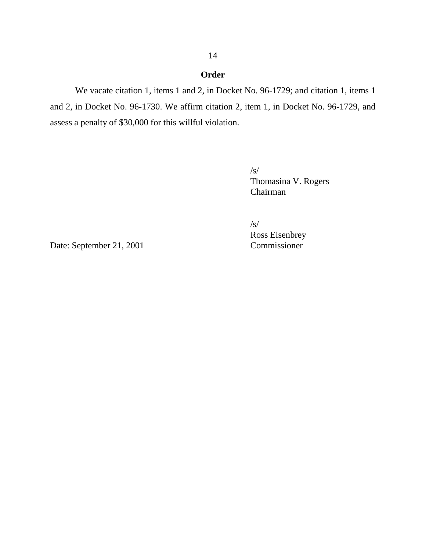# **Order**

We vacate citation 1, items 1 and 2, in Docket No. 96-1729; and citation 1, items 1 and 2, in Docket No. 96-1730. We affirm citation 2, item 1, in Docket No. 96-1729, and assess a penalty of \$30,000 for this willful violation.

> /s/ Thomasina V. Rogers Chairman

/s/

Ross Eisenbrey

Date: September 21, 2001 Commissioner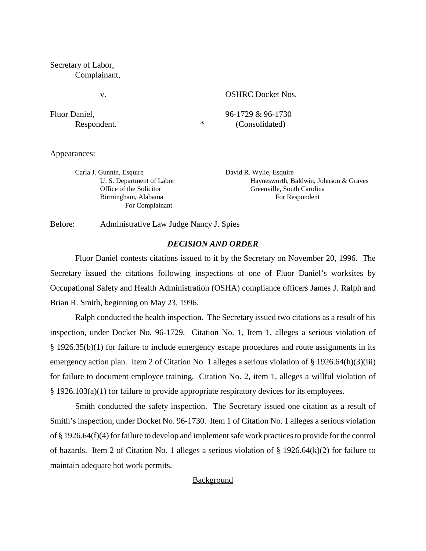## Secretary of Labor, Complainant,

v.

Fluor Daniel, Respondent.  $\star$  OSHRC Docket Nos.

96-1729 & 96-1730 (Consolidated)

Appearances:

Carla J. Gunnin, Esquire U. S. Department of Labor Office of the Solicitor Birmingham, Alabama For Complainant

David R. Wylie, Esquire Haynesworth, Baldwin, Johnson & Graves Greenville, South Carolina For Respondent

Before: Administrative Law Judge Nancy J. Spies

# *DECISION AND ORDER*

Fluor Daniel contests citations issued to it by the Secretary on November 20, 1996. The Secretary issued the citations following inspections of one of Fluor Daniel's worksites by Occupational Safety and Health Administration (OSHA) compliance officers James J. Ralph and Brian R. Smith, beginning on May 23, 1996.

Ralph conducted the health inspection. The Secretary issued two citations as a result of his inspection, under Docket No. 96-1729. Citation No. 1, Item 1, alleges a serious violation of § 1926.35(b)(1) for failure to include emergency escape procedures and route assignments in its emergency action plan. Item 2 of Citation No. 1 alleges a serious violation of § 1926.64(h)(3)(iii) for failure to document employee training. Citation No. 2, item 1, alleges a willful violation of § 1926.103(a)(1) for failure to provide appropriate respiratory devices for its employees.

Smith conducted the safety inspection. The Secretary issued one citation as a result of Smith's inspection, under Docket No. 96-1730. Item 1 of Citation No. 1 alleges a serious violation of § 1926.64(f)(4) for failure to develop and implement safe work practices to provide for the control of hazards. Item 2 of Citation No. 1 alleges a serious violation of § 1926.64(k)(2) for failure to maintain adequate hot work permits.

# **Background**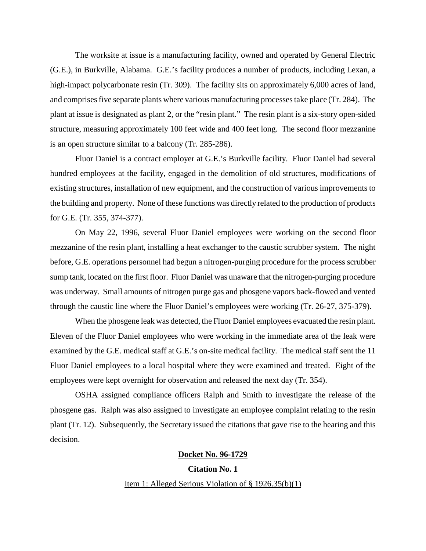The worksite at issue is a manufacturing facility, owned and operated by General Electric (G.E.), in Burkville, Alabama. G.E.'s facility produces a number of products, including Lexan, a high-impact polycarbonate resin (Tr. 309). The facility sits on approximately 6,000 acres of land, and comprises five separate plants where various manufacturing processes take place (Tr. 284). The plant at issue is designated as plant 2, or the "resin plant." The resin plant is a six-story open-sided structure, measuring approximately 100 feet wide and 400 feet long. The second floor mezzanine is an open structure similar to a balcony (Tr. 285-286).

Fluor Daniel is a contract employer at G.E.'s Burkville facility. Fluor Daniel had several hundred employees at the facility, engaged in the demolition of old structures, modifications of existing structures, installation of new equipment, and the construction of various improvements to the building and property. None of these functions was directly related to the production of products for G.E. (Tr. 355, 374-377).

On May 22, 1996, several Fluor Daniel employees were working on the second floor mezzanine of the resin plant, installing a heat exchanger to the caustic scrubber system. The night before, G.E. operations personnel had begun a nitrogen-purging procedure for the process scrubber sump tank, located on the first floor. Fluor Daniel was unaware that the nitrogen-purging procedure was underway. Small amounts of nitrogen purge gas and phosgene vapors back-flowed and vented through the caustic line where the Fluor Daniel's employees were working (Tr. 26-27, 375-379).

When the phosgene leak was detected, the Fluor Daniel employees evacuated the resin plant. Eleven of the Fluor Daniel employees who were working in the immediate area of the leak were examined by the G.E. medical staff at G.E.'s on-site medical facility. The medical staff sent the 11 Fluor Daniel employees to a local hospital where they were examined and treated. Eight of the employees were kept overnight for observation and released the next day (Tr. 354).

OSHA assigned compliance officers Ralph and Smith to investigate the release of the phosgene gas. Ralph was also assigned to investigate an employee complaint relating to the resin plant (Tr. 12). Subsequently, the Secretary issued the citations that gave rise to the hearing and this decision.

# **Docket No. 96-1729 Citation No. 1**  Item 1: Alleged Serious Violation of § 1926.35(b)(1)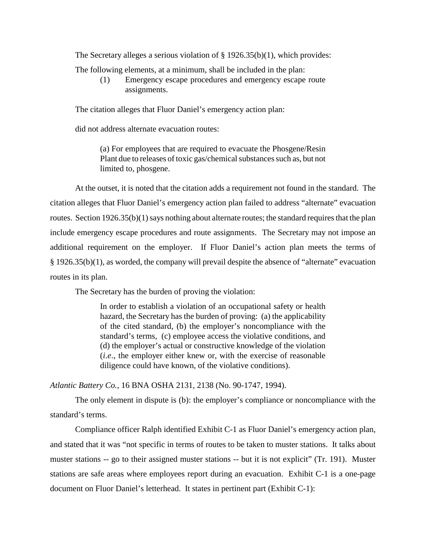The Secretary alleges a serious violation of § 1926.35(b)(1), which provides:

The following elements, at a minimum, shall be included in the plan:

(1) Emergency escape procedures and emergency escape route assignments.

The citation alleges that Fluor Daniel's emergency action plan:

did not address alternate evacuation routes:

(a) For employees that are required to evacuate the Phosgene/Resin Plant due to releases of toxic gas/chemical substances such as, but not limited to, phosgene.

At the outset, it is noted that the citation adds a requirement not found in the standard. The citation alleges that Fluor Daniel's emergency action plan failed to address "alternate" evacuation routes. Section 1926.35(b)(1) says nothing about alternate routes; the standard requires that the plan include emergency escape procedures and route assignments. The Secretary may not impose an additional requirement on the employer. If Fluor Daniel's action plan meets the terms of § 1926.35(b)(1), as worded, the company will prevail despite the absence of "alternate" evacuation routes in its plan.

The Secretary has the burden of proving the violation:

In order to establish a violation of an occupational safety or health hazard, the Secretary has the burden of proving: (a) the applicability of the cited standard, (b) the employer's noncompliance with the standard's terms, (c) employee access the violative conditions, and (d) the employer's actual or constructive knowledge of the violation (*i.e*., the employer either knew or, with the exercise of reasonable diligence could have known, of the violative conditions).

*Atlantic Battery Co.,* 16 BNA OSHA 2131, 2138 (No. 90-1747, 1994).

The only element in dispute is (b): the employer's compliance or noncompliance with the standard's terms.

Compliance officer Ralph identified Exhibit C-1 as Fluor Daniel's emergency action plan, and stated that it was "not specific in terms of routes to be taken to muster stations. It talks about muster stations -- go to their assigned muster stations -- but it is not explicit" (Tr. 191). Muster stations are safe areas where employees report during an evacuation. Exhibit C-1 is a one-page document on Fluor Daniel's letterhead. It states in pertinent part (Exhibit C-1):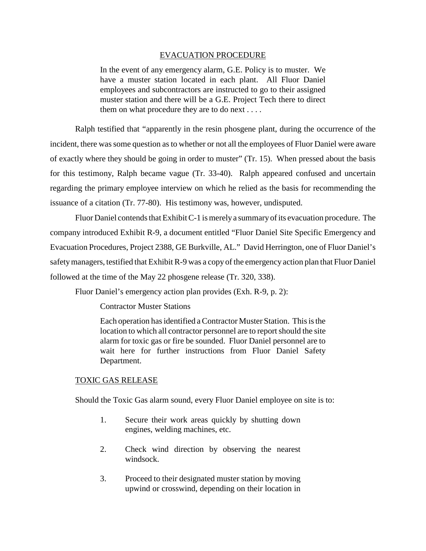## EVACUATION PROCEDURE

In the event of any emergency alarm, G.E. Policy is to muster. We have a muster station located in each plant. All Fluor Daniel employees and subcontractors are instructed to go to their assigned muster station and there will be a G.E. Project Tech there to direct them on what procedure they are to do next . . . .

Ralph testified that "apparently in the resin phosgene plant, during the occurrence of the incident, there was some question as to whether or not all the employees of Fluor Daniel were aware of exactly where they should be going in order to muster" (Tr. 15). When pressed about the basis for this testimony, Ralph became vague (Tr. 33-40). Ralph appeared confused and uncertain regarding the primary employee interview on which he relied as the basis for recommending the issuance of a citation (Tr. 77-80). His testimony was, however, undisputed.

Fluor Daniel contends that Exhibit C-1 is merely a summary of its evacuation procedure. The company introduced Exhibit R-9, a document entitled "Fluor Daniel Site Specific Emergency and Evacuation Procedures, Project 2388, GE Burkville, AL." David Herrington, one of Fluor Daniel's safetymanagers, testified that Exhibit R-9 was a copy of the emergency action plan that Fluor Daniel followed at the time of the May 22 phosgene release (Tr. 320, 338).

Fluor Daniel's emergency action plan provides (Exh. R-9, p. 2):

Contractor Muster Stations

Each operation has identified a Contractor Muster Station. This is the location to which all contractor personnel are to report should the site alarm for toxic gas or fire be sounded. Fluor Daniel personnel are to wait here for further instructions from Fluor Daniel Safety Department.

# TOXIC GAS RELEASE

Should the Toxic Gas alarm sound, every Fluor Daniel employee on site is to:

- 1. Secure their work areas quickly by shutting down engines, welding machines, etc.
- 2. Check wind direction by observing the nearest windsock.
- 3. Proceed to their designated muster station by moving upwind or crosswind, depending on their location in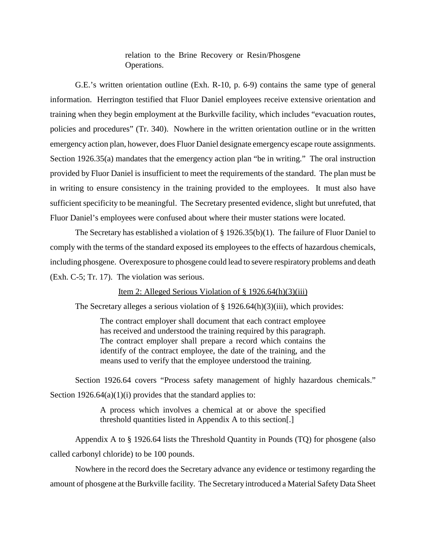relation to the Brine Recovery or Resin/Phosgene Operations.

G.E.'s written orientation outline (Exh. R-10, p. 6-9) contains the same type of general information. Herrington testified that Fluor Daniel employees receive extensive orientation and training when they begin employment at the Burkville facility, which includes "evacuation routes, policies and procedures" (Tr. 340). Nowhere in the written orientation outline or in the written emergency action plan, however, does Fluor Daniel designate emergency escape route assignments. Section 1926.35(a) mandates that the emergency action plan "be in writing." The oral instruction provided by Fluor Daniel is insufficient to meet the requirements of the standard. The plan must be in writing to ensure consistency in the training provided to the employees. It must also have sufficient specificity to be meaningful. The Secretary presented evidence, slight but unrefuted, that Fluor Daniel's employees were confused about where their muster stations were located.

The Secretary has established a violation of § 1926.35(b)(1). The failure of Fluor Daniel to comply with the terms of the standard exposed its employees to the effects of hazardous chemicals, including phosgene. Overexposure to phosgene could lead to severe respiratory problems and death (Exh. C-5; Tr. 17). The violation was serious.

### Item 2: Alleged Serious Violation of § 1926.64(h)(3)(iii)

The Secretary alleges a serious violation of § 1926.64(h)(3)(iii), which provides:

The contract employer shall document that each contract employee has received and understood the training required by this paragraph. The contract employer shall prepare a record which contains the identify of the contract employee, the date of the training, and the means used to verify that the employee understood the training.

Section 1926.64 covers "Process safety management of highly hazardous chemicals." Section  $1926.64(a)(1)(i)$  provides that the standard applies to:

> A process which involves a chemical at or above the specified threshold quantities listed in Appendix A to this section[.]

Appendix A to § 1926.64 lists the Threshold Quantity in Pounds (TQ) for phosgene (also called carbonyl chloride) to be 100 pounds.

Nowhere in the record does the Secretary advance any evidence or testimony regarding the amount of phosgene at the Burkville facility. The Secretary introduced a Material Safety Data Sheet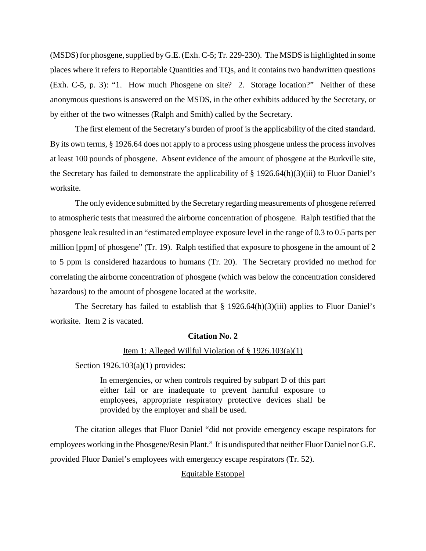(MSDS) for phosgene, supplied by G.E. (Exh. C-5; Tr. 229-230). The MSDS is highlighted in some places where it refers to Reportable Quantities and TQs, and it contains two handwritten questions (Exh. C-5, p. 3): "1. How much Phosgene on site? 2. Storage location?" Neither of these anonymous questions is answered on the MSDS, in the other exhibits adduced by the Secretary, or by either of the two witnesses (Ralph and Smith) called by the Secretary.

The first element of the Secretary's burden of proof is the applicability of the cited standard. By its own terms, § 1926.64 does not apply to a process using phosgene unless the process involves at least 100 pounds of phosgene. Absent evidence of the amount of phosgene at the Burkville site, the Secretary has failed to demonstrate the applicability of § 1926.64(h)(3)(iii) to Fluor Daniel's worksite.

The only evidence submitted by the Secretary regarding measurements of phosgene referred to atmospheric tests that measured the airborne concentration of phosgene. Ralph testified that the phosgene leak resulted in an "estimated employee exposure level in the range of 0.3 to 0.5 parts per million [ppm] of phosgene" (Tr. 19). Ralph testified that exposure to phosgene in the amount of 2 to 5 ppm is considered hazardous to humans (Tr. 20). The Secretary provided no method for correlating the airborne concentration of phosgene (which was below the concentration considered hazardous) to the amount of phosgene located at the worksite.

The Secretary has failed to establish that  $\S$  1926.64(h)(3)(iii) applies to Fluor Daniel's worksite. Item 2 is vacated.

#### **Citation No. 2**

#### Item 1: Alleged Willful Violation of  $\S$  1926.103(a)(1)

Section 1926.103(a)(1) provides:

In emergencies, or when controls required by subpart D of this part either fail or are inadequate to prevent harmful exposure to employees, appropriate respiratory protective devices shall be provided by the employer and shall be used.

The citation alleges that Fluor Daniel "did not provide emergency escape respirators for employees working in the Phosgene/Resin Plant." It is undisputed that neither Fluor Daniel nor G.E. provided Fluor Daniel's employees with emergency escape respirators (Tr. 52).

#### Equitable Estoppel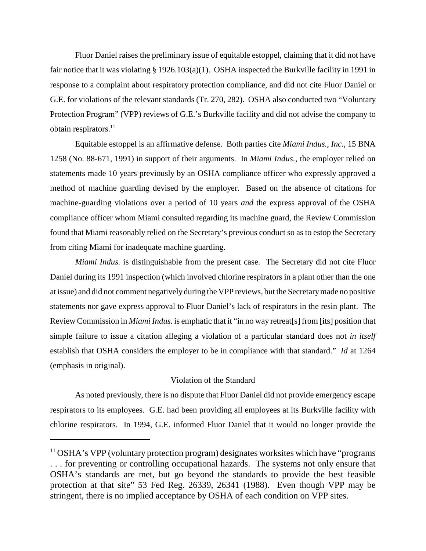Fluor Daniel raises the preliminary issue of equitable estoppel, claiming that it did not have fair notice that it was violating § 1926.103(a)(1). OSHA inspected the Burkville facility in 1991 in response to a complaint about respiratory protection compliance, and did not cite Fluor Daniel or G.E. for violations of the relevant standards (Tr. 270, 282). OSHA also conducted two "Voluntary Protection Program" (VPP) reviews of G.E.'s Burkville facility and did not advise the company to obtain respirators.<sup>11</sup>

Equitable estoppel is an affirmative defense. Both parties cite *Miami Indus., Inc.,* 15 BNA 1258 (No. 88-671, 1991) in support of their arguments. In *Miami Indus.*, the employer relied on statements made 10 years previously by an OSHA compliance officer who expressly approved a method of machine guarding devised by the employer. Based on the absence of citations for machine-guarding violations over a period of 10 years *and* the express approval of the OSHA compliance officer whom Miami consulted regarding its machine guard, the Review Commission found that Miami reasonably relied on the Secretary's previous conduct so as to estop the Secretary from citing Miami for inadequate machine guarding.

*Miami Indus.* is distinguishable from the present case. The Secretary did not cite Fluor Daniel during its 1991 inspection (which involved chlorine respirators in a plant other than the one at issue) and did not comment negatively during the VPP reviews, but the Secretary made no positive statements nor gave express approval to Fluor Daniel's lack of respirators in the resin plant. The Review Commission in *Miami Indus.* is emphatic that it "in no way retreat[s] from [its] position that simple failure to issue a citation alleging a violation of a particular standard does not *in itself*  establish that OSHA considers the employer to be in compliance with that standard." *Id* at 1264 (emphasis in original).

## Violation of the Standard

As noted previously, there is no dispute that Fluor Daniel did not provide emergency escape respirators to its employees. G.E. had been providing all employees at its Burkville facility with chlorine respirators. In 1994, G.E. informed Fluor Daniel that it would no longer provide the

 $11$  OSHA's VPP (voluntary protection program) designates worksites which have "programs" . . . for preventing or controlling occupational hazards. The systems not only ensure that OSHA's standards are met, but go beyond the standards to provide the best feasible protection at that site" 53 Fed Reg. 26339, 26341 (1988). Even though VPP may be stringent, there is no implied acceptance by OSHA of each condition on VPP sites.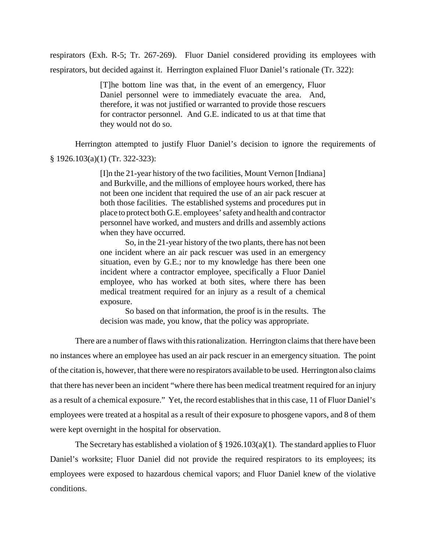respirators (Exh. R-5; Tr. 267-269). Fluor Daniel considered providing its employees with respirators, but decided against it. Herrington explained Fluor Daniel's rationale (Tr. 322):

> [T]he bottom line was that, in the event of an emergency, Fluor Daniel personnel were to immediately evacuate the area. And, therefore, it was not justified or warranted to provide those rescuers for contractor personnel. And G.E. indicated to us at that time that they would not do so.

Herrington attempted to justify Fluor Daniel's decision to ignore the requirements of § 1926.103(a)(1) (Tr. 322-323):

> [I]n the 21-year history of the two facilities, Mount Vernon [Indiana] and Burkville, and the millions of employee hours worked, there has not been one incident that required the use of an air pack rescuer at both those facilities. The established systems and procedures put in place to protect both G.E. employees' safety and health and contractor personnel have worked, and musters and drills and assembly actions when they have occurred.

> So, in the 21-year history of the two plants, there has not been one incident where an air pack rescuer was used in an emergency situation, even by G.E.; nor to my knowledge has there been one incident where a contractor employee, specifically a Fluor Daniel employee, who has worked at both sites, where there has been medical treatment required for an injury as a result of a chemical exposure.

> So based on that information, the proof is in the results. The decision was made, you know, that the policy was appropriate.

There are a number of flaws with this rationalization. Herrington claims that there have been no instances where an employee has used an air pack rescuer in an emergency situation. The point of the citation is, however, that there were no respirators available to be used. Herrington also claims that there has never been an incident "where there has been medical treatment required for an injury as a result of a chemical exposure." Yet, the record establishes that in this case, 11 of Fluor Daniel's employees were treated at a hospital as a result of their exposure to phosgene vapors, and 8 of them were kept overnight in the hospital for observation.

The Secretary has established a violation of  $\S 1926.103(a)(1)$ . The standard applies to Fluor Daniel's worksite; Fluor Daniel did not provide the required respirators to its employees; its employees were exposed to hazardous chemical vapors; and Fluor Daniel knew of the violative conditions.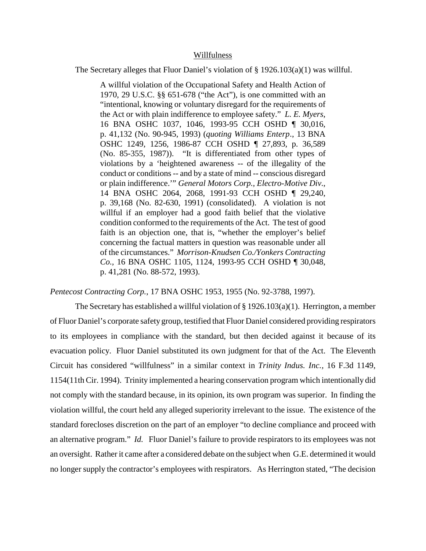#### Willfulness

The Secretary alleges that Fluor Daniel's violation of § 1926.103(a)(1) was willful.

A willful violation of the Occupational Safety and Health Action of 1970, 29 U.S.C. §§ 651-678 ("the Act"), is one committed with an "intentional, knowing or voluntary disregard for the requirements of the Act or with plain indifference to employee safety." *L. E. Myers*, 16 BNA OSHC 1037, 1046, 1993-95 CCH OSHD ¶ 30,016, p. 41,132 (No. 90-945, 1993) (*quoting Williams Enterp*., 13 BNA OSHC 1249, 1256, 1986-87 CCH OSHD ¶ 27,893, p. 36,589 (No. 85-355, 1987)). "It is differentiated from other types of violations by a 'heightened awareness -- of the illegality of the conduct or conditions -- and by a state of mind -- conscious disregard or plain indifference.'" *General Motors Corp., Electro-Motive Div*., 14 BNA OSHC 2064, 2068, 1991-93 CCH OSHD ¶ 29,240, p. 39,168 (No. 82-630, 1991) (consolidated). A violation is not willful if an employer had a good faith belief that the violative condition conformed to the requirements of the Act. The test of good faith is an objection one, that is, "whether the employer's belief concerning the factual matters in question was reasonable under all of the circumstances." *Morrison-Knudsen Co./Yonkers Contracting Co.,* 16 BNA OSHC 1105, 1124, 1993-95 CCH OSHD ¶ 30,048, p. 41,281 (No. 88-572, 1993).

*Pentecost Contracting Corp.*, 17 BNA OSHC 1953, 1955 (No. 92-3788, 1997).

The Secretary has established a willful violation of § 1926.103(a)(1). Herrington, a member of Fluor Daniel's corporate safety group, testified that Fluor Daniel considered providing respirators to its employees in compliance with the standard, but then decided against it because of its evacuation policy. Fluor Daniel substituted its own judgment for that of the Act. The Eleventh Circuit has considered "willfulness" in a similar context in *Trinity Indus. Inc.,* 16 F.3d 1149, 1154(11th Cir. 1994). Trinity implemented a hearing conservation program which intentionally did not comply with the standard because, in its opinion, its own program was superior. In finding the violation willful, the court held any alleged superiority irrelevant to the issue. The existence of the standard forecloses discretion on the part of an employer "to decline compliance and proceed with an alternative program." *Id.* Fluor Daniel's failure to provide respirators to its employees was not an oversight. Rather it came after a considered debate on the subject when G.E. determined it would no longer supply the contractor's employees with respirators. As Herrington stated, "The decision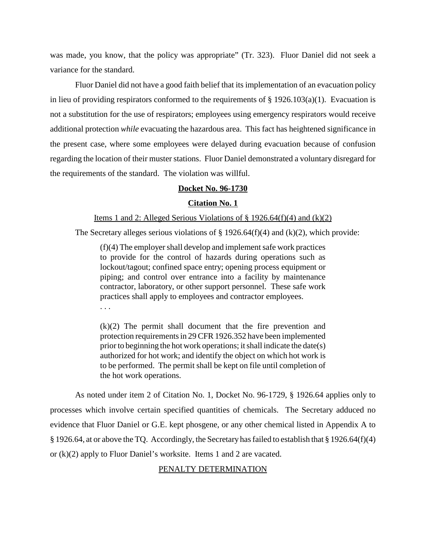was made, you know, that the policy was appropriate" (Tr. 323). Fluor Daniel did not seek a variance for the standard.

Fluor Daniel did not have a good faith belief that its implementation of an evacuation policy in lieu of providing respirators conformed to the requirements of  $\S 1926.103(a)(1)$ . Evacuation is not a substitution for the use of respirators; employees using emergency respirators would receive additional protection *while* evacuating the hazardous area. This fact has heightened significance in the present case, where some employees were delayed during evacuation because of confusion regarding the location of their muster stations. Fluor Daniel demonstrated a voluntary disregard for the requirements of the standard. The violation was willful.

## **Docket No. 96-1730**

#### **Citation No. 1**

#### Items 1 and 2: Alleged Serious Violations of  $\S 1926.64(f)(4)$  and  $(k)(2)$

The Secretary alleges serious violations of  $\S 1926.64(f)(4)$  and  $(k)(2)$ , which provide:

(f)(4) The employer shall develop and implement safe work practices to provide for the control of hazards during operations such as lockout/tagout; confined space entry; opening process equipment or piping; and control over entrance into a facility by maintenance contractor, laboratory, or other support personnel. These safe work practices shall apply to employees and contractor employees. . . .

(k)(2) The permit shall document that the fire prevention and protection requirements in 29 CFR 1926.352 have been implemented prior to beginning the hot work operations; it shall indicate the date(s) authorized for hot work; and identify the object on which hot work is to be performed. The permit shall be kept on file until completion of the hot work operations.

As noted under item 2 of Citation No. 1, Docket No. 96-1729, § 1926.64 applies only to processes which involve certain specified quantities of chemicals. The Secretary adduced no evidence that Fluor Daniel or G.E. kept phosgene, or any other chemical listed in Appendix A to § 1926.64, at or above the TQ. Accordingly, the Secretary has failed to establish that § 1926.64(f)(4) or (k)(2) apply to Fluor Daniel's worksite. Items 1 and 2 are vacated.

#### PENALTY DETERMINATION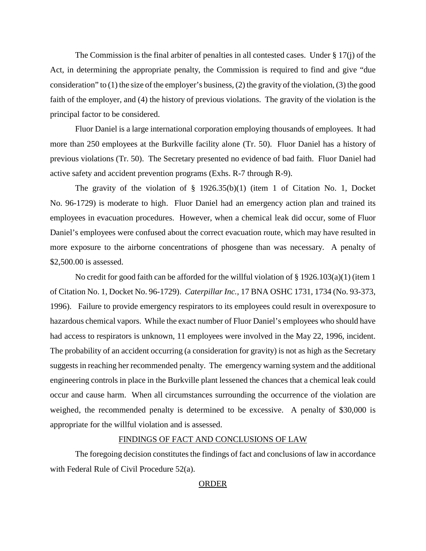The Commission is the final arbiter of penalties in all contested cases. Under  $\S 17(i)$  of the Act, in determining the appropriate penalty, the Commission is required to find and give "due consideration" to  $(1)$  the size of the employer's business,  $(2)$  the gravity of the violation,  $(3)$  the good faith of the employer, and (4) the history of previous violations. The gravity of the violation is the principal factor to be considered.

Fluor Daniel is a large international corporation employing thousands of employees. It had more than 250 employees at the Burkville facility alone (Tr. 50). Fluor Daniel has a history of previous violations (Tr. 50). The Secretary presented no evidence of bad faith. Fluor Daniel had active safety and accident prevention programs (Exhs. R-7 through R-9).

The gravity of the violation of § 1926.35(b)(1) (item 1 of Citation No. 1, Docket No. 96-1729) is moderate to high. Fluor Daniel had an emergency action plan and trained its employees in evacuation procedures. However, when a chemical leak did occur, some of Fluor Daniel's employees were confused about the correct evacuation route, which may have resulted in more exposure to the airborne concentrations of phosgene than was necessary. A penalty of \$2,500.00 is assessed.

No credit for good faith can be afforded for the willful violation of § 1926.103(a)(1) (item 1 of Citation No. 1, Docket No. 96-1729). *Caterpillar Inc.,* 17 BNA OSHC 1731, 1734 (No. 93-373, 1996). Failure to provide emergency respirators to its employees could result in overexposure to hazardous chemical vapors. While the exact number of Fluor Daniel's employees who should have had access to respirators is unknown, 11 employees were involved in the May 22, 1996, incident. The probability of an accident occurring (a consideration for gravity) is not as high as the Secretary suggests in reaching her recommended penalty. The emergency warning system and the additional engineering controls in place in the Burkville plant lessened the chances that a chemical leak could occur and cause harm. When all circumstances surrounding the occurrence of the violation are weighed, the recommended penalty is determined to be excessive. A penalty of \$30,000 is appropriate for the willful violation and is assessed.

#### FINDINGS OF FACT AND CONCLUSIONS OF LAW

The foregoing decision constitutes the findings of fact and conclusions of law in accordance with Federal Rule of Civil Procedure 52(a).

#### ORDER